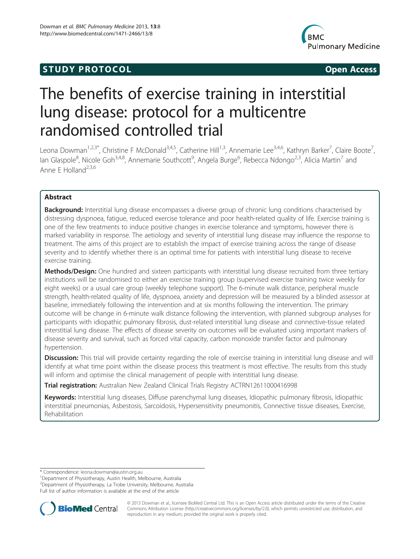## **STUDY PROTOCOL** And the set of the set of the set of the set of the set of the set of the set of the set of the set of the set of the set of the set of the set of the set of the set of the set of the set of the set of the



# The benefits of exercise training in interstitial lung disease: protocol for a multicentre randomised controlled trial

Leona Dowman<sup>1,2,3\*</sup>, Christine F McDonald<sup>3,4,5</sup>, Catherine Hill<sup>1,3</sup>, Annemarie Lee<sup>3,4,6</sup>, Kathryn Barker<sup>7</sup>, Claire Boote<sup>7</sup> , lan Glaspole<sup>8</sup>, Nicole Goh<sup>3,4,8</sup>, Annemarie Southcott<sup>9</sup>, Angela Burge<sup>6</sup>, Rebecca Ndongo<sup>2,3</sup>, Alicia Martin<sup>7</sup> and Anne F Holland<sup>2,3,6</sup>

## Abstract

Background: Interstitial lung disease encompasses a diverse group of chronic lung conditions characterised by distressing dyspnoea, fatigue, reduced exercise tolerance and poor health-related quality of life. Exercise training is one of the few treatments to induce positive changes in exercise tolerance and symptoms, however there is marked variability in response. The aetiology and severity of interstitial lung disease may influence the response to treatment. The aims of this project are to establish the impact of exercise training across the range of disease severity and to identify whether there is an optimal time for patients with interstitial lung disease to receive exercise training.

Methods/Design: One hundred and sixteen participants with interstitial lung disease recruited from three tertiary institutions will be randomised to either an exercise training group (supervised exercise training twice weekly for eight weeks) or a usual care group (weekly telephone support). The 6-minute walk distance, peripheral muscle strength, health-related quality of life, dyspnoea, anxiety and depression will be measured by a blinded assessor at baseline, immediately following the intervention and at six months following the intervention. The primary outcome will be change in 6-minute walk distance following the intervention, with planned subgroup analyses for participants with idiopathic pulmonary fibrosis, dust-related interstitial lung disease and connective-tissue related interstitial lung disease. The effects of disease severity on outcomes will be evaluated using important markers of disease severity and survival, such as forced vital capacity, carbon monoxide transfer factor and pulmonary hypertension.

Discussion: This trial will provide certainty regarding the role of exercise training in interstitial lung disease and will identify at what time point within the disease process this treatment is most effective. The results from this study will inform and optimise the clinical management of people with interstitial lung disease.

Trial registration: Australian New Zealand Clinical Trials Registry ACTRN12611000416998

Keywords: Interstitial lung diseases, Diffuse parenchymal lung diseases, Idiopathic pulmonary fibrosis, Idiopathic interstitial pneumonias, Asbestosis, Sarcoidosis, Hypersensitivity pneumonitis, Connective tissue diseases, Exercise, Rehabilitation

Full list of author information is available at the end of the article



© 2013 Dowman et al.; licensee BioMed Central Ltd. This is an Open Access article distributed under the terms of the Creative Commons Attribution License [\(http://creativecommons.org/licenses/by/2.0\)](http://creativecommons.org/licenses/by/2.0), which permits unrestricted use, distribution, and reproduction in any medium, provided the original work is properly cited.

<sup>\*</sup> Correspondence: [leona.dowman@austin.org.au](mailto:leona.dowman@austin.org.au) <sup>1</sup>

<sup>&</sup>lt;sup>1</sup>Department of Physiotherapy, Austin Health, Melbourne, Australia

<sup>2</sup> Department of Physiotherapy, La Trobe University, Melbourne, Australia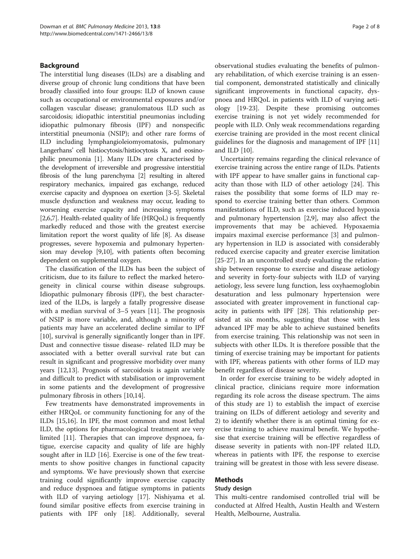## Background

The interstitial lung diseases (ILDs) are a disabling and diverse group of chronic lung conditions that have been broadly classified into four groups: ILD of known cause such as occupational or environmental exposures and/or collagen vascular disease; granulomatous ILD such as sarcoidosis; idiopathic interstitial pneumonias including idiopathic pulmonary fibrosis (IPF) and nonspecific interstitial pneumonia (NSIP); and other rare forms of ILD including lymphangioleiomyomatosis, pulmonary Langerhans' cell histiocytosis/histiocytosis X, and eosinophilic pneumonia [\[1\]](#page-6-0). Many ILDs are characterised by the development of irreversible and progressive interstitial fibrosis of the lung parenchyma [\[2\]](#page-6-0) resulting in altered respiratory mechanics, impaired gas exchange, reduced exercise capacity and dyspnoea on exertion [\[3-5](#page-6-0)]. Skeletal muscle dysfunction and weakness may occur, leading to worsening exercise capacity and increasing symptoms [[2,6](#page-6-0),[7](#page-6-0)]. Health-related quality of life (HRQoL) is frequently markedly reduced and those with the greatest exercise limitation report the worst quality of life [[8](#page-6-0)]. As disease progresses, severe hypoxemia and pulmonary hypertension may develop [\[9,10\]](#page-6-0), with patients often becoming dependent on supplemental oxygen.

The classification of the ILDs has been the subject of criticism, due to its failure to reflect the marked heterogeneity in clinical course within disease subgroups. Idiopathic pulmonary fibrosis (IPF), the best characterized of the ILDs, is largely a fatally progressive disease with a median survival of 3–5 years [[11\]](#page-6-0). The prognosis of NSIP is more variable, and, although a minority of patients may have an accelerated decline similar to IPF [[10\]](#page-6-0), survival is generally significantly longer than in IPF. Dust and connective tissue disease- related ILD may be associated with a better overall survival rate but can result in significant and progressive morbidity over many years [\[12,](#page-6-0)[13\]](#page-7-0). Prognosis of sarcoidosis is again variable and difficult to predict with stabilisation or improvement in some patients and the development of progressive pulmonary fibrosis in others [[10,](#page-6-0)[14\]](#page-7-0).

Few treatments have demonstrated improvements in either HRQoL or community functioning for any of the ILDs [\[15,16](#page-7-0)]. In IPF, the most common and most lethal ILD, the options for pharmacological treatment are very limited [\[11\]](#page-6-0). Therapies that can improve dyspnoea, fatigue, exercise capacity and quality of life are highly sought after in ILD [[16\]](#page-7-0). Exercise is one of the few treatments to show positive changes in functional capacity and symptoms. We have previously shown that exercise training could significantly improve exercise capacity and reduce dyspnoea and fatigue symptoms in patients with ILD of varying aetiology [[17\]](#page-7-0). Nishiyama et al. found similar positive effects from exercise training in patients with IPF only [\[18](#page-7-0)]. Additionally, several observational studies evaluating the benefits of pulmonary rehabilitation, of which exercise training is an essential component, demonstrated statistically and clinically significant improvements in functional capacity, dyspnoea and HRQoL in patients with ILD of varying aetiology [\[19](#page-7-0)-[23\]](#page-7-0). Despite these promising outcomes exercise training is not yet widely recommended for people with ILD. Only weak recommendations regarding exercise training are provided in the most recent clinical guidelines for the diagnosis and management of IPF [[11](#page-6-0)] and ILD [[10\]](#page-6-0).

Uncertainty remains regarding the clinical relevance of exercise training across the entire range of ILDs. Patients with IPF appear to have smaller gains in functional capacity than those with ILD of other aetiology [\[24\]](#page-7-0). This raises the possibility that some forms of ILD may respond to exercise training better than others. Common manifestations of ILD, such as exercise induced hypoxia and pulmonary hypertension [\[2,9](#page-6-0)], may also affect the improvements that may be achieved. Hypoxaemia impairs maximal exercise performance [[3\]](#page-6-0) and pulmonary hypertension in ILD is associated with considerably reduced exercise capacity and greater exercise limitation [[25-27](#page-7-0)]. In an uncontrolled study evaluating the relationship between response to exercise and disease aetiology and severity in forty-four subjects with ILD of varying aetiology, less severe lung function, less oxyhaemoglobin desaturation and less pulmonary hypertension were associated with greater improvement in functional capacity in patients with IPF [[28\]](#page-7-0). This relationship persisted at six months, suggesting that those with less advanced IPF may be able to achieve sustained benefits from exercise training. This relationship was not seen in subjects with other ILDs. It is therefore possible that the timing of exercise training may be important for patients with IPF, whereas patients with other forms of ILD may benefit regardless of disease severity.

In order for exercise training to be widely adopted in clinical practice, clinicians require more information regarding its role across the disease spectrum. The aims of this study are 1) to establish the impact of exercise training on ILDs of different aetiology and severity and 2) to identify whether there is an optimal timing for exercise training to achieve maximal benefit. We hypothesise that exercise training will be effective regardless of disease severity in patients with non-IPF related ILD, whereas in patients with IPF, the response to exercise training will be greatest in those with less severe disease.

## Methods

#### Study design

This multi-centre randomised controlled trial will be conducted at Alfred Health, Austin Health and Western Health, Melbourne, Australia.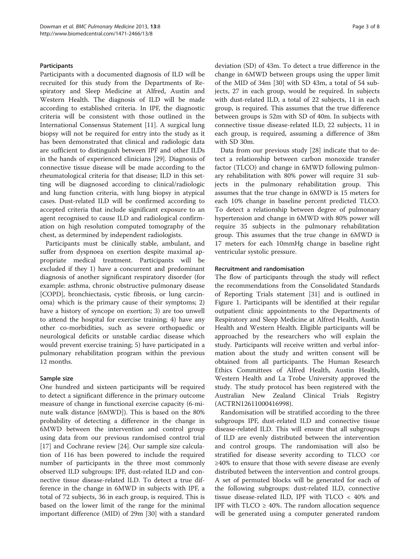#### Participants

Participants with a documented diagnosis of ILD will be recruited for this study from the Departments of Respiratory and Sleep Medicine at Alfred, Austin and Western Health. The diagnosis of ILD will be made according to established criteria. In IPF, the diagnostic criteria will be consistent with those outlined in the International Consensus Statement [\[11](#page-6-0)]. A surgical lung biopsy will not be required for entry into the study as it has been demonstrated that clinical and radiologic data are sufficient to distinguish between IPF and other ILDs in the hands of experienced clinicians [[29\]](#page-7-0). Diagnosis of connective tissue disease will be made according to the rheumatological criteria for that disease; ILD in this setting will be diagnosed according to clinical/radiologic and lung function criteria, with lung biopsy in atypical cases. Dust-related ILD will be confirmed according to accepted criteria that include significant exposure to an agent recognised to cause ILD and radiological confirmation on high resolution computed tomography of the chest, as determined by independent radiologists.

Participants must be clinically stable, ambulant, and suffer from dyspnoea on exertion despite maximal appropriate medical treatment. Participants will be excluded if they 1) have a concurrent and predominant diagnosis of another significant respiratory disorder (for example: asthma, chronic obstructive pulmonary disease [COPD], bronchiectasis, cystic fibrosis, or lung carcinoma) which is the primary cause of their symptoms; 2) have a history of syncope on exertion; 3) are too unwell to attend the hospital for exercise training; 4) have any other co-morbidities, such as severe orthopaedic or neurological deficits or unstable cardiac disease which would prevent exercise training; 5) have participated in a pulmonary rehabilitation program within the previous 12 months.

#### Sample size

One hundred and sixteen participants will be required to detect a significant difference in the primary outcome measure of change in functional exercise capacity (6-minute walk distance [6MWD]). This is based on the 80% probability of detecting a difference in the change in 6MWD between the intervention and control group using data from our previous randomised control trial [[17\]](#page-7-0) and Cochrane review [\[24\]](#page-7-0). Our sample size calculation of 116 has been powered to include the required number of participants in the three most commonly observed ILD subgroups: IPF, dust-related ILD and connective tissue disease-related ILD. To detect a true difference in the change in 6MWD in subjects with IPF, a total of 72 subjects, 36 in each group, is required. This is based on the lower limit of the range for the minimal important difference (MID) of 29m [[30\]](#page-7-0) with a standard deviation (SD) of 43m. To detect a true difference in the change in 6MWD between groups using the upper limit of the MID of 34m [[30\]](#page-7-0) with SD 43m, a total of 54 subjects, 27 in each group, would be required. In subjects with dust-related ILD, a total of 22 subjects, 11 in each group, is required. This assumes that the true difference between groups is 52m with SD of 40m. In subjects with connective tissue disease-related ILD, 22 subjects, 11 in each group, is required, assuming a difference of 38m with SD 30m.

Data from our previous study [\[28](#page-7-0)] indicate that to detect a relationship between carbon monoxide transfer factor (TLCO) and change in 6MWD following pulmonary rehabilitation with 80% power will require 31 subjects in the pulmonary rehabilitation group. This assumes that the true change in 6MWD is 15 meters for each 10% change in baseline percent predicted TLCO. To detect a relationship between degree of pulmonary hypertension and change in 6MWD with 80% power will require 35 subjects in the pulmonary rehabilitation group. This assumes that the true change in 6MWD is 17 meters for each 10mmHg change in baseline right ventricular systolic pressure.

#### Recruitment and randomisation

The flow of participants through the study will reflect the recommendations from the Consolidated Standards of Reporting Trials statement [\[31\]](#page-7-0) and is outlined in Figure [1.](#page-3-0) Participants will be identified at their regular outpatient clinic appointments to the Departments of Respiratory and Sleep Medicine at Alfred Health, Austin Health and Western Health. Eligible participants will be approached by the researchers who will explain the study. Participants will receive written and verbal information about the study and written consent will be obtained from all participants. The Human Research Ethics Committees of Alfred Health, Austin Health, Western Health and La Trobe University approved the study. The study protocol has been registered with the Australian New Zealand Clinical Trials Registry (ACTRN12611000416998).

Randomisation will be stratified according to the three subgroups IPF, dust-related ILD and connective tissue disease-related ILD. This will ensure that all subgroups of ILD are evenly distributed between the intervention and control groups. The randomisation will also be stratified for disease severity according to TLCO <or ≥40% to ensure that those with severe disease are evenly distributed between the intervention and control groups. A set of permuted blocks will be generated for each of the following subgroups: dust-related ILD, connective tissue disease-related ILD, IPF with TLCO < 40% and IPF with  $T<sub>LO</sub> \ge 40\%$ . The random allocation sequence will be generated using a computer generated random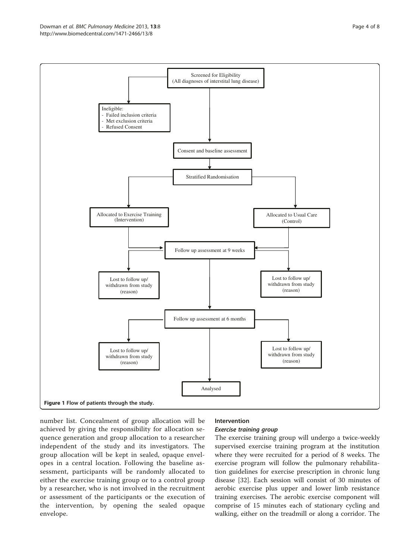<span id="page-3-0"></span>

number list. Concealment of group allocation will be achieved by giving the responsibility for allocation sequence generation and group allocation to a researcher independent of the study and its investigators. The group allocation will be kept in sealed, opaque envelopes in a central location. Following the baseline assessment, participants will be randomly allocated to either the exercise training group or to a control group by a researcher, who is not involved in the recruitment or assessment of the participants or the execution of the intervention, by opening the sealed opaque envelope.

#### Intervention Exercise training group

The exercise training group will undergo a twice-weekly supervised exercise training program at the institution where they were recruited for a period of 8 weeks. The exercise program will follow the pulmonary rehabilitation guidelines for exercise prescription in chronic lung disease [[32](#page-7-0)]. Each session will consist of 30 minutes of aerobic exercise plus upper and lower limb resistance training exercises. The aerobic exercise component will comprise of 15 minutes each of stationary cycling and walking, either on the treadmill or along a corridor. The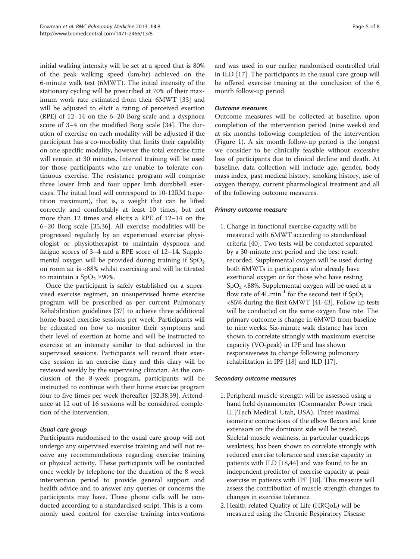initial walking intensity will be set at a speed that is 80% of the peak walking speed (km/hr) achieved on the 6-minute walk test (6MWT). The initial intensity of the stationary cycling will be prescribed at 70% of their maximum work rate estimated from their 6MWT [\[33](#page-7-0)] and will be adjusted to elicit a rating of perceived exertion (RPE) of 12–14 on the 6–20 Borg scale and a dyspnoea score of 3–4 on the modified Borg scale [\[34\]](#page-7-0). The duration of exercise on each modality will be adjusted if the participant has a co-morbidity that limits their capability on one specific modality, however the total exercise time will remain at 30 minutes. Interval training will be used for those participants who are unable to tolerate continuous exercise. The resistance program will comprise three lower limb and four upper limb dumbbell exercises. The initial load will correspond to 10-12RM (repetition maximum), that is, a weight that can be lifted correctly and comfortably at least 10 times, but not more than 12 times and elicits a RPE of 12–14 on the 6–20 Borg scale [[35,36\]](#page-7-0). All exercise modalities will be progressed regularly by an experienced exercise physiologist or physiotherapist to maintain dyspnoea and fatigue scores of 3–4 and a RPE score of 12–14. Supplemental oxygen will be provided during training if  $SpO<sub>2</sub>$ on room air is <88% whilst exercising and will be titrated to maintain a  $SpO<sub>2</sub> \ge 90\%$ .

Once the participant is safely established on a supervised exercise regimen, an unsupervised home exercise program will be prescribed as per current Pulmonary Rehabilitation guidelines [\[37](#page-7-0)] to achieve three additional home-based exercise sessions per week. Participants will be educated on how to monitor their symptoms and their level of exertion at home and will be instructed to exercise at an intensity similar to that achieved in the supervised sessions. Participants will record their exercise session in an exercise diary and this diary will be reviewed weekly by the supervising clinician. At the conclusion of the 8-week program, participants will be instructed to continue with their home exercise program four to five times per week thereafter [[32,38,39](#page-7-0)]. Attendance at 12 out of 16 sessions will be considered completion of the intervention.

## Usual care group

Participants randomised to the usual care group will not undergo any supervised exercise training and will not receive any recommendations regarding exercise training or physical activity. These participants will be contacted once weekly by telephone for the duration of the 8 week intervention period to provide general support and health advice and to answer any queries or concerns the participants may have. These phone calls will be conducted according to a standardised script. This is a commonly used control for exercise training interventions

and was used in our earlier randomised controlled trial in ILD [[17\]](#page-7-0). The participants in the usual care group will be offered exercise training at the conclusion of the 6 month follow-up period.

#### Outcome measures

Outcome measures will be collected at baseline, upon completion of the intervention period (nine weeks) and at six months following completion of the intervention (Figure [1\)](#page-3-0). A six month follow-up period is the longest we consider to be clinically feasible without excessive loss of participants due to clinical decline and death. At baseline, data collection will include age, gender, body mass index, past medical history, smoking history, use of oxygen therapy, current pharmological treatment and all of the following outcome measures.

## Primary outcome measure

1. Change in functional exercise capacity will be measured with 6MWT according to standardised criteria [\[40\]](#page-7-0). Two tests will be conducted separated by a 30-minute rest period and the best result recorded. Supplemental oxygen will be used during both 6MWTs in participants who already have exertional oxygen or for those who have resting  $SpO<sub>2</sub>$  <88%. Supplemental oxygen will be used at a flow rate of 4L.min<sup>-1</sup> for the second test if  $SpO<sub>2</sub>$ <85% during the first 6MWT [\[41-43](#page-7-0)]. Follow up tests will be conducted on the same oxygen flow rate. The primary outcome is change in 6MWD from baseline to nine weeks. Six-minute walk distance has been shown to correlate strongly with maximum exercise capacity (VO<sub>2</sub>peak) in IPF and has shown responsiveness to change following pulmonary rehabilitation in IPF [\[18\]](#page-7-0) and ILD [\[17](#page-7-0)].

## Secondary outcome measures

- 1. Peripheral muscle strength will be assessed using a hand held dynamometer (Commander Power track II, JTech Medical, Utah, USA). Three maximal isometric contractions of the elbow flexors and knee extensors on the dominant side will be tested. Skeletal muscle weakness, in particular quadriceps weakness, has been shown to correlate strongly with reduced exercise tolerance and exercise capacity in patients with ILD [[18,44](#page-7-0)] and was found to be an independent predictor of exercise capacity at peak exercise in patients with IPF [\[18\]](#page-7-0). This measure will assess the contribution of muscle strength changes to changes in exercise tolerance.
- 2. Health-related Quality of Life (HRQoL) will be measured using the Chronic Respiratory Disease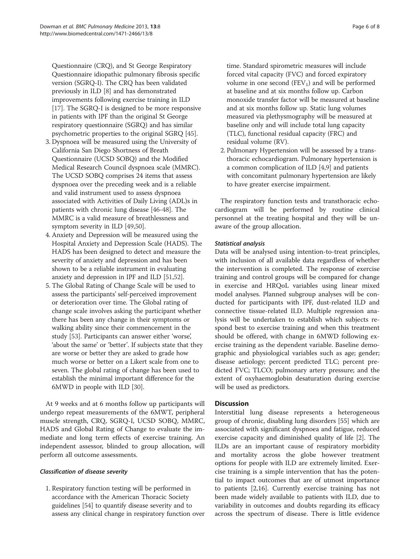Questionnaire (CRQ), and St George Respiratory Questionnaire idiopathic pulmonary fibrosis specific version (SGRQ-I). The CRQ has been validated previously in ILD [[8\]](#page-6-0) and has demonstrated improvements following exercise training in ILD [[17](#page-7-0)]. The SGRQ-I is designed to be more responsive in patients with IPF than the original St George respiratory questionnaire (SGRQ) and has similar psychometric properties to the original SGRQ [[45](#page-7-0)].

- 3. Dyspnoea will be measured using the University of California San Diego Shortness of Breath Questionnaire (UCSD SOBQ) and the Modified Medical Research Council dyspnoea scale (MMRC). The UCSD SOBQ comprises 24 items that assess dyspnoea over the preceding week and is a reliable and valid instrument used to assess dyspnoea associated with Activities of Daily Living (ADL)s in patients with chronic lung disease [[46-48\]](#page-7-0). The MMRC is a valid measure of breathlessness and symptom severity in ILD [\[49,50](#page-7-0)].
- 4. Anxiety and Depression will be measured using the Hospital Anxiety and Depression Scale (HADS). The HADS has been designed to detect and measure the severity of anxiety and depression and has been shown to be a reliable instrument in evaluating anxiety and depression in IPF and ILD [[51](#page-7-0),[52](#page-7-0)].
- 5. The Global Rating of Change Scale will be used to assess the participants' self-perceived improvement or deterioration over time. The Global rating of change scale involves asking the participant whether there has been any change in their symptoms or walking ability since their commencement in the study [\[53\]](#page-7-0). Participants can answer either 'worse', 'about the same' or 'better'. If subjects state that they are worse or better they are asked to grade how much worse or better on a Likert scale from one to seven. The global rating of change has been used to establish the minimal important difference for the 6MWD in people with ILD [[30\]](#page-7-0).

At 9 weeks and at 6 months follow up participants will undergo repeat measurements of the 6MWT, peripheral muscle strength, CRQ, SGRQ-I, UCSD SOBQ, MMRC, HADS and Global Rating of Change to evaluate the immediate and long term effects of exercise training. An independent assessor, blinded to group allocation, will perform all outcome assessments.

## Classification of disease severity

1. Respiratory function testing will be performed in accordance with the American Thoracic Society guidelines [[54](#page-7-0)] to quantify disease severity and to assess any clinical change in respiratory function over time. Standard spirometric measures will include forced vital capacity (FVC) and forced expiratory volume in one second  $(FEV_1)$  and will be performed at baseline and at six months follow up. Carbon monoxide transfer factor will be measured at baseline and at six months follow up. Static lung volumes measured via plethysmography will be measured at baseline only and will include total lung capacity (TLC), functional residual capacity (FRC) and residual volume (RV).

2. Pulmonary Hypertension will be assessed by a transthoracic echocardiogram. Pulmonary hypertension is a common complication of ILD [\[4,9](#page-6-0)] and patients with concomitant pulmonary hypertension are likely to have greater exercise impairment.

The respiratory function tests and transthoracic echocardiogram will be performed by routine clinical personnel at the treating hospital and they will be unaware of the group allocation.

## Statistical analysis

Data will be analysed using intention-to-treat principles, with inclusion of all available data regardless of whether the intervention is completed. The response of exercise training and control groups will be compared for change in exercise and HRQoL variables using linear mixed model analyses. Planned subgroup analyses will be conducted for participants with IPF, dust-related ILD and connective tissue-related ILD. Multiple regression analysis will be undertaken to establish which subjects respond best to exercise training and when this treatment should be offered, with change in 6MWD following exercise training as the dependent variable. Baseline demographic and physiological variables such as age; gender; disease aetiology; percent predicted TLC; percent predicted FVC; TLCO; pulmonary artery pressure; and the extent of oxyhaemoglobin desaturation during exercise will be used as predictors.

## **Discussion**

Interstitial lung disease represents a heterogeneous group of chronic, disabling lung disorders [[55](#page-7-0)] which are associated with significant dyspnoea and fatigue, reduced exercise capacity and diminished quality of life [\[2](#page-6-0)]. The ILDs are an important cause of respiratory morbidity and mortality across the globe however treatment options for people with ILD are extremely limited. Exercise training is a simple intervention that has the potential to impact outcomes that are of utmost importance to patients [[2,](#page-6-0)[16\]](#page-7-0). Currently exercise training has not been made widely available to patients with ILD, due to variability in outcomes and doubts regarding its efficacy across the spectrum of disease. There is little evidence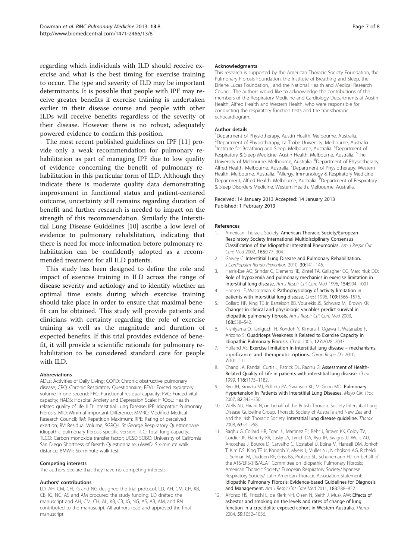<span id="page-6-0"></span>regarding which individuals with ILD should receive exercise and what is the best timing for exercise training to occur. The type and severity of ILD may be important determinants. It is possible that people with IPF may receive greater benefits if exercise training is undertaken earlier in their disease course and people with other ILDs will receive benefits regardless of the severity of their disease. However there is no robust, adequately powered evidence to confirm this position.

The most recent published guidelines on IPF [11] provide only a weak recommendation for pulmonary rehabilitation as part of managing IPF due to low quality of evidence concerning the benefit of pulmonary rehabilitation in this particular form of ILD. Although they indicate there is moderate quality data demonstrating improvement in functional status and patient-centered outcome, uncertainty still remains regarding duration of benefit and further research is needed to impact on the strength of this recommendation. Similarly the Interstitial Lung Disease Guidelines [10] ascribe a low level of evidence to pulmonary rehabilitation, indicating that there is need for more information before pulmonary rehabilitation can be confidently adopted as a recommended treatment for all ILD patients.

This study has been designed to define the role and impact of exercise training in ILD across the range of disease severity and aetiology and to identify whether an optimal time exists during which exercise training should take place in order to ensure that maximal benefit can be obtained. This study will provide patients and clinicians with certainty regarding the role of exercise training as well as the magnitude and duration of expected benefits. If this trial provides evidence of benefit, it will provide a scientific rationale for pulmonary rehabilitation to be considered standard care for people with ILD.

#### Abbreviations

ADLs: Activities of Daily Living; COPD: Chronic obstructive pulmonary disease; CRQ: Chronic Respiratory Questionnaire; FEV1: Forced expiratory volume in one second; FRC: Functional residual capacity; FVC: Forced vital capacity; HADS: Hospital Anxiety and Depression Scale; HRQoL: Health related quality of life; ILD: Interstitial Lung Disease; IPF: Idiopathic Pulmonary Fibrosis; MID: Minimal important Difference; MMRC: Modified Medical Research Council; RM: Repetition Maximum; RPE: Rating of perceived exertion; RV: Residual Volume; SGRQ-I: St George Respiratory Questionnaire idiopathic pulmonary fibrosis specific version; TLC: Total lung capacity; TLCO: Carbon monoxide transfer factor; UCSD SOBQ: University of California San Diego Shortness of Breath Questionnaire; 6MWD: Six-minute walk distance; 6MWT: Six-minute walk test.

#### Competing interests

The authors declare that they have no competing interests.

#### Authors' contributions

LD, AH, CM, CH, IG and NG designed the trial protocol. LD, AH, CM, CH, KB, CB, IG, NG, AS and AM procured the study funding. LD drafted the manuscript and AH, CM, CH, AL, KB, CB, IG, NG, AS, AB, AM, and RN contributed to the manuscript. All authors read and approved the final manuscript.

#### Acknowledgments

This research is supported by the American Thoracic Society Foundation, the Pulmonary Fibrosis Foundation, the Institute of Breathing and Sleep, the Eirlene Lucas Foundation, , and the National Health and Medical Research Council. The authors would like to acknowledge the contributions of the members of the Respiratory Medicine and Cardiology Departments at Austin Health, Alfred Health and Western Health, who were responsible for conducting the respiratory function tests and the transthoracic echocardiogram.

#### Author details

<sup>1</sup> Department of Physiotherapy, Austin Health, Melbourne, Australia. <sup>2</sup> Department of Physiotherapy, La Trobe University, Melbourne, Australia. <sup>3</sup>Institute for Breathing and Sleep, Melbourne, Australia. <sup>4</sup>Department of Respiratory & Sleep Medicine, Austin Health, Melbourne, Australia. <sup>5</sup>The University of Melbourne, Melbourne, Australia. <sup>6</sup>Department of Physiotherapy, Alfred Health, Melbourne, Australia. <sup>7</sup>Department of Physiotherapy, Western Health, Melbourne, Australia. <sup>8</sup> Allergy, Immunology & Respiratory Medicine Department, Alfred Health, Melbourne, Australia. <sup>9</sup>Department of Respiratory & Sleep Disorders Medicine, Western Health, Melbourne, Australia.

#### Received: 14 January 2013 Accepted: 14 January 2013 Published: 1 February 2013

#### References

- 1. American Thoracic Society: American Thoracic Society/European Respiratory Society International Multidisciplinary Consensus Classification of the Idiopathic Interstitial Pneumonias. Am J Respir Crit Care Med 2002, 165:277–304.
- 2. Garvey C: Interstitial Lung Disease and Pulmonary Rehabilitation. J Cardiopulm Rehab Prevention 2010, 30:141–146.
- 3. Harris-Eze AO, Srihdar G, Clemens RE, Zintel TA, Gallagher CG, Marciniuk DD: Role of hypoxemia and pulmonary mechanics in exercise limitation in interstitial lung disease. Am J Respir Crit Care Med 1996, 154:994–1001.
- 4. Hansen JE, Wasserman K: Pathophysiology of activity limitation in patients with interstitial lung disease. Chest 1996, 109:1566-1576.
- 5. Collard HR, King TE Jr, Bartelson BB, Vourlekis JS, Schwarz MI, Brown KK: Changes in clinical and physiologic variables predict survival in idiopathic pulmonary fibrosis. Am J Respir Crit Care Med 2003, 168:538–542.
- 6. Nishiyama O, Taniguchi H, Kondoh Y, Kimura T, Ogawa T, Watanabe F, Arizono S: Quadriceps Weakness Is Related to Exercise Capacity in Idiopathic Pulmonary Fibrosis. Chest 2005, 127:2028–2033.
- 7. Holland AE: Exercise limitation in interstitial lung disease mechanisms, significance and therapeutic options. Chron Respir Dis 2010, 7:101–111.
- 8. Chang JA, Randall Curtis J, Patrick DL, Raghu G: Assessment of Health-Related Quality of Life in patients with interstitial lung disease. Chest 1999, 116:1175–1182.
- 9. Ryu JH, Krowka MJ, Pellikka PA, Swanson KL, McGoon MD: Pulmonary Hypertension in Patients with Interstitial Lung Diseases. Mayo Clin Proc 2007, 82:342–350.
- 10. Wells AU, Hirani N, on behalf of the British Thoracic Society Interstitial Lung Disease Guideline Group, Thoracic Society of Australia and New Zealand and the Irish Thoracic Society: Interstitial lung disease guideline. Thorax 2008, 63:v1–v58.
- 11. Raghu G, Collard HR, Egan JJ, Martinez FJ, Behr J, Brown KK, Colby TV, Cordier JF, Flaherty KR, Lasky JA, Lynch DA, Ryu JH, Swigris JJ, Wells AU, Ancochea J, Bouros D, Carvalho C, Costabel U, Ebina M, Hansell DM, Johkoh T, Kim DS, King TE Jr, Kondoh Y, Myers J, Muller NL, Nicholson AG, Richeldi L, Selman M, Dudden RF, Griss BS, Protzko SL, Schunemann HJ, on behalf of the ATS/ERS/JRS/ALAT Committee on Idiopathic Pulmonary Fibrosis: American Thoracic Society/ European Respiratory Society/Japanese Respiratory Society/ Latin American Thoracic Association Statement: Idiopathic Pulmonary Fibrosis: Evidence-based Guidelines for Diagnosis and Management. Am J Respir Crit Care Med 2011, 183:788-852.
- 12. Alfonso HS, Fritschi L, de Klerk NH, Olsen N, Sleith J, Musk AW: Effects of asbestos and smoking on the levels and rates of change of lung function in a crocidolite exposed cohort in Western Australia. Thorax 2004, 59:1052–1056.